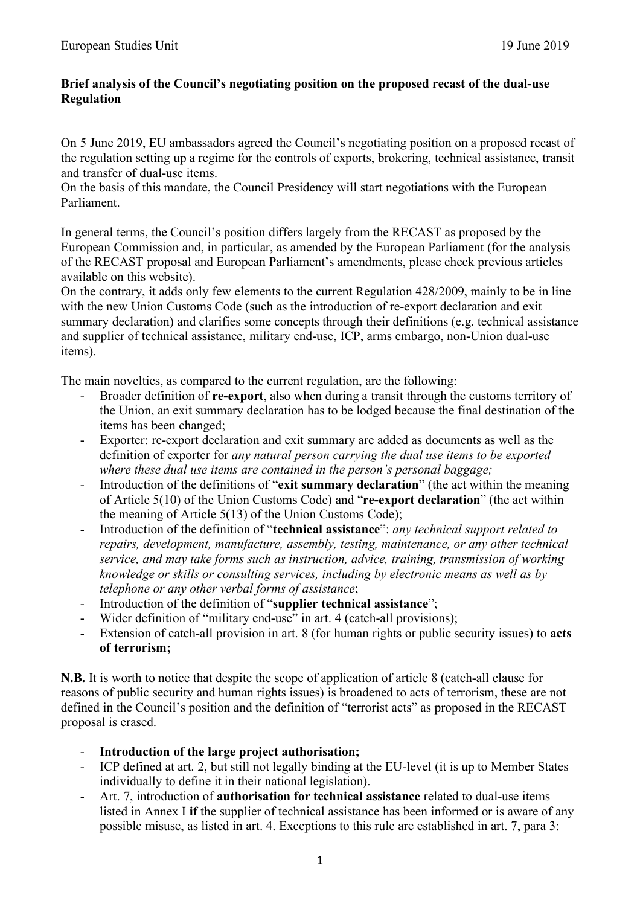## **Brief analysis of the Council's negotiating position on the proposed recast of the dual-use Regulation**

On 5 June 2019, EU ambassadors agreed the Council's negotiating position on a proposed recast of the regulation setting up a regime for the controls of exports, brokering, technical assistance, transit and transfer of dual-use items.

On the basis of this mandate, the Council Presidency will start negotiations with the European Parliament.

In general terms, the Council's position differs largely from the RECAST as proposed by the European Commission and, in particular, as amended by the European Parliament (for the analysis of the RECAST proposal and European Parliament's amendments, please check previous articles available on this website).

On the contrary, it adds only few elements to the current Regulation 428/2009, mainly to be in line with the new Union Customs Code (such as the introduction of re-export declaration and exit summary declaration) and clarifies some concepts through their definitions (e.g. technical assistance and supplier of technical assistance, military end-use, ICP, arms embargo, non-Union dual-use items).

The main novelties, as compared to the current regulation, are the following:

- Broader definition of **re-export**, also when during a transit through the customs territory of the Union, an exit summary declaration has to be lodged because the final destination of the items has been changed;
- Exporter: re-export declaration and exit summary are added as documents as well as the definition of exporter for *any natural person carrying the dual use items to be exported where these dual use items are contained in the person's personal baggage;*
- Introduction of the definitions of "**exit summary declaration**" (the act within the meaning of Article 5(10) of the Union Customs Code) and "**re-export declaration**" (the act within the meaning of Article 5(13) of the Union Customs Code);
- Introduction of the definition of "**technical assistance**": *any technical support related to repairs, development, manufacture, assembly, testing, maintenance, or any other technical service, and may take forms such as instruction, advice, training, transmission of working knowledge or skills or consulting services, including by electronic means as well as by telephone or any other verbal forms of assistance*;
- Introduction of the definition of "**supplier technical assistance**";
- Wider definition of "military end-use" in art. 4 (catch-all provisions);
- Extension of catch-all provision in art. 8 (for human rights or public security issues) to **acts of terrorism;**

**N.B.** It is worth to notice that despite the scope of application of article 8 (catch-all clause for reasons of public security and human rights issues) is broadened to acts of terrorism, these are not defined in the Council's position and the definition of "terrorist acts" as proposed in the RECAST proposal is erased.

- **Introduction of the large project authorisation;**
- ICP defined at art. 2, but still not legally binding at the EU-level (it is up to Member States individually to define it in their national legislation).
- Art. 7, introduction of **authorisation for technical assistance** related to dual-use items listed in Annex I **if** the supplier of technical assistance has been informed or is aware of any possible misuse, as listed in art. 4. Exceptions to this rule are established in art. 7, para 3: